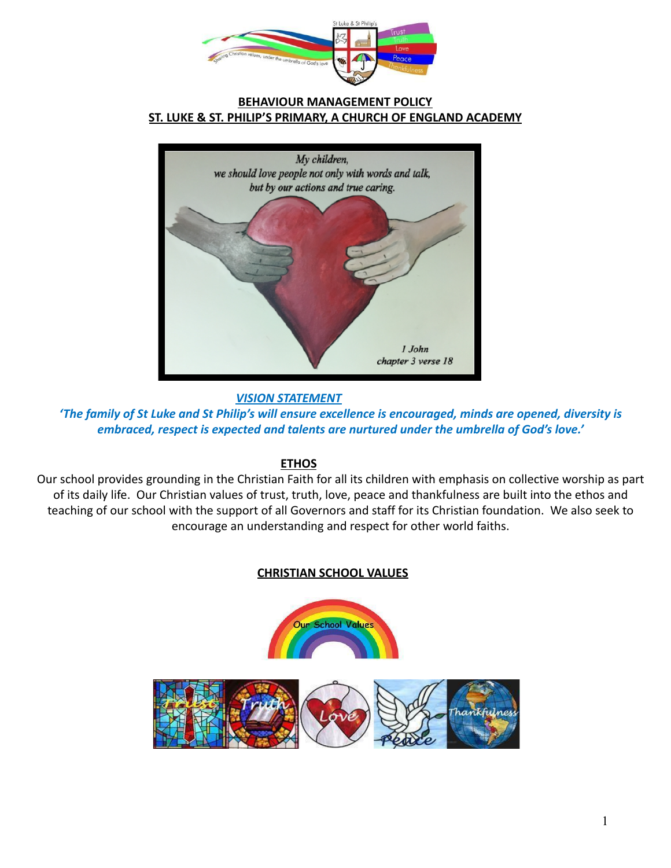

#### **BEHAVIOUR MANAGEMENT POLICY ST. LUKE & ST. PHILIP'S PRIMARY, A CHURCH OF ENGLAND ACADEMY**



*VISION STATEMENT*

*'The family of St Luke and St Philip's will ensure excellence is encouraged, minds are opened, diversity is embraced, respect is expected and talents are nurtured under the umbrella of God's love.'*

### **ETHOS**

Our school provides grounding in the Christian Faith for all its children with emphasis on collective worship as part of its daily life. Our Christian values of trust, truth, love, peace and thankfulness are built into the ethos and teaching of our school with the support of all Governors and staff for its Christian foundation. We also seek to encourage an understanding and respect for other world faiths.

### **CHRISTIAN SCHOOL VALUES**

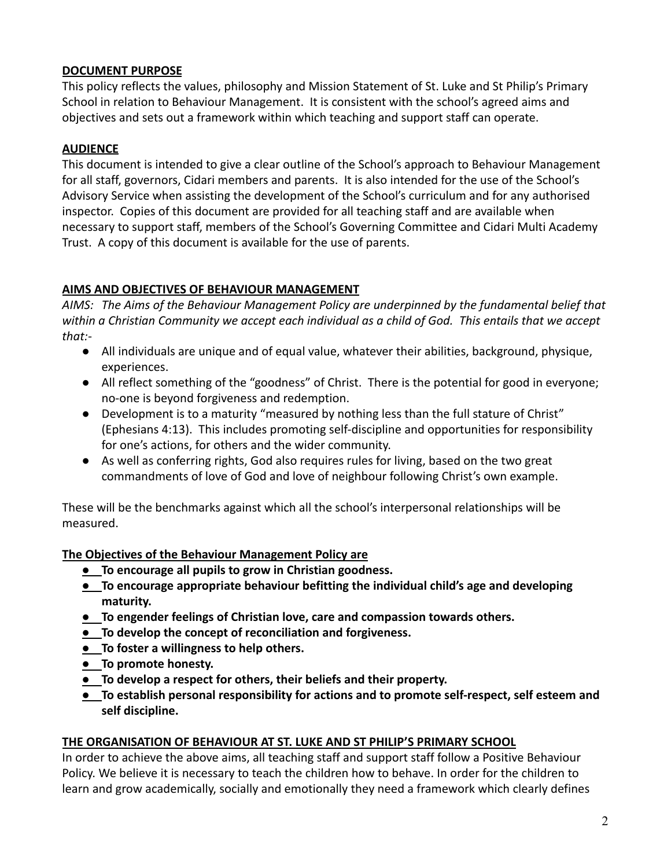### **DOCUMENT PURPOSE**

This policy reflects the values, philosophy and Mission Statement of St. Luke and St Philip's Primary School in relation to Behaviour Management. It is consistent with the school's agreed aims and objectives and sets out a framework within which teaching and support staff can operate.

# **AUDIENCE**

This document is intended to give a clear outline of the School's approach to Behaviour Management for all staff, governors, Cidari members and parents. It is also intended for the use of the School's Advisory Service when assisting the development of the School's curriculum and for any authorised inspector. Copies of this document are provided for all teaching staff and are available when necessary to support staff, members of the School's Governing Committee and Cidari Multi Academy Trust. A copy of this document is available for the use of parents.

# **AIMS AND OBJECTIVES OF BEHAVIOUR MANAGEMENT**

*AIMS: The Aims of the Behaviour Management Policy are underpinned by the fundamental belief that within a Christian Community we accept each individual as a child of God. This entails that we accept that:-*

- All individuals are unique and of equal value, whatever their abilities, background, physique, experiences.
- All reflect something of the "goodness" of Christ. There is the potential for good in everyone; no-one is beyond forgiveness and redemption.
- Development is to a maturity "measured by nothing less than the full stature of Christ" (Ephesians 4:13). This includes promoting self-discipline and opportunities for responsibility for one's actions, for others and the wider community.
- As well as conferring rights, God also requires rules for living, based on the two great commandments of love of God and love of neighbour following Christ's own example.

These will be the benchmarks against which all the school's interpersonal relationships will be measured.

# **The Objectives of the Behaviour Management Policy are**

- **● To encourage all pupils to grow in Christian goodness.**
- **● To encourage appropriate behaviour befitting the individual child's age and developing maturity.**
- **● To engender feelings of Christian love, care and compassion towards others.**
- **● To develop the concept of reconciliation and forgiveness.**
- **● To foster a willingness to help others.**
- **● To promote honesty.**
- **● To develop a respect for others, their beliefs and their property.**
- **● To establish personal responsibility for actions and to promote self-respect, self esteem and self discipline.**

### **THE ORGANISATION OF BEHAVIOUR AT ST. LUKE AND ST PHILIP'S PRIMARY SCHOOL**

In order to achieve the above aims, all teaching staff and support staff follow a Positive Behaviour Policy. We believe it is necessary to teach the children how to behave. In order for the children to learn and grow academically, socially and emotionally they need a framework which clearly defines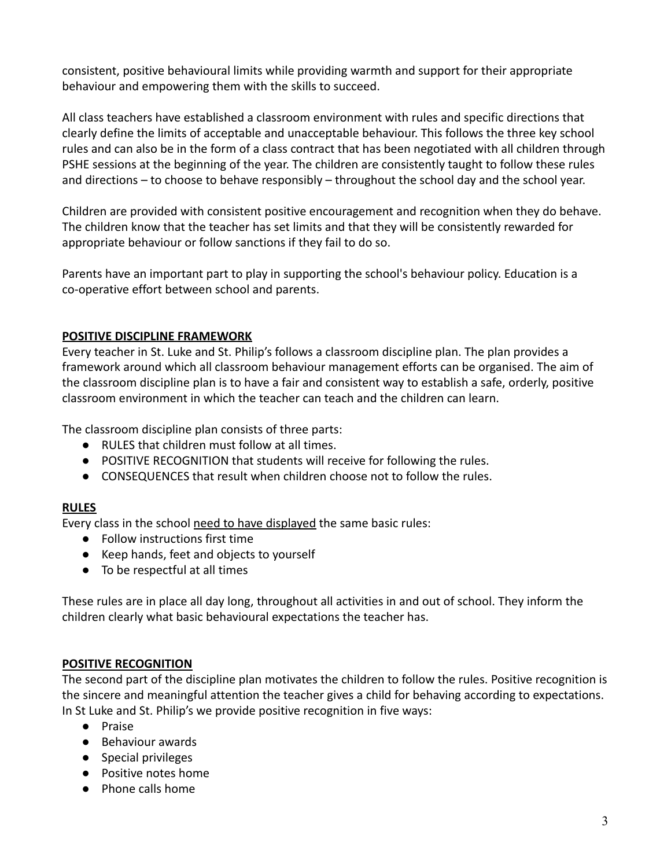consistent, positive behavioural limits while providing warmth and support for their appropriate behaviour and empowering them with the skills to succeed.

All class teachers have established a classroom environment with rules and specific directions that clearly define the limits of acceptable and unacceptable behaviour. This follows the three key school rules and can also be in the form of a class contract that has been negotiated with all children through PSHE sessions at the beginning of the year. The children are consistently taught to follow these rules and directions – to choose to behave responsibly – throughout the school day and the school year.

Children are provided with consistent positive encouragement and recognition when they do behave. The children know that the teacher has set limits and that they will be consistently rewarded for appropriate behaviour or follow sanctions if they fail to do so.

Parents have an important part to play in supporting the school's behaviour policy. Education is a co-operative effort between school and parents.

#### **POSITIVE DISCIPLINE FRAMEWORK**

Every teacher in St. Luke and St. Philip's follows a classroom discipline plan. The plan provides a framework around which all classroom behaviour management efforts can be organised. The aim of the classroom discipline plan is to have a fair and consistent way to establish a safe, orderly, positive classroom environment in which the teacher can teach and the children can learn.

The classroom discipline plan consists of three parts:

- RULES that children must follow at all times.
- POSITIVE RECOGNITION that students will receive for following the rules.
- CONSEQUENCES that result when children choose not to follow the rules.

#### **RULES**

Every class in the school need to have displayed the same basic rules:

- Follow instructions first time
- Keep hands, feet and objects to yourself
- To be respectful at all times

These rules are in place all day long, throughout all activities in and out of school. They inform the children clearly what basic behavioural expectations the teacher has.

#### **POSITIVE RECOGNITION**

The second part of the discipline plan motivates the children to follow the rules. Positive recognition is the sincere and meaningful attention the teacher gives a child for behaving according to expectations. In St Luke and St. Philip's we provide positive recognition in five ways:

- Praise
- Behaviour awards
- Special privileges
- Positive notes home
- Phone calls home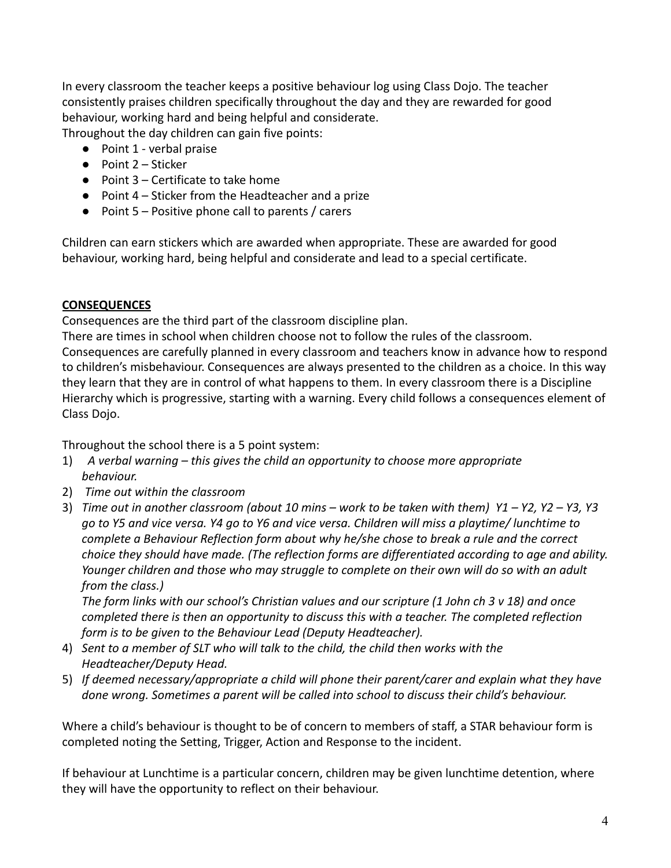In every classroom the teacher keeps a positive behaviour log using Class Dojo. The teacher consistently praises children specifically throughout the day and they are rewarded for good behaviour, working hard and being helpful and considerate.

Throughout the day children can gain five points:

- Point 1 verbal praise
- Point 2 Sticker
- Point 3 Certificate to take home
- Point 4 Sticker from the Headteacher and a prize
- Point 5 Positive phone call to parents / carers

Children can earn stickers which are awarded when appropriate. These are awarded for good behaviour, working hard, being helpful and considerate and lead to a special certificate.

### **CONSEQUENCES**

Consequences are the third part of the classroom discipline plan.

There are times in school when children choose not to follow the rules of the classroom. Consequences are carefully planned in every classroom and teachers know in advance how to respond to children's misbehaviour. Consequences are always presented to the children as a choice. In this way they learn that they are in control of what happens to them. In every classroom there is a Discipline Hierarchy which is progressive, starting with a warning. Every child follows a consequences element of Class Dojo.

Throughout the school there is a 5 point system:

- 1) *A verbal warning this gives the child an opportunity to choose more appropriate behaviour.*
- 2) *Time out within the classroom*
- 3) *Time out in another classroom (about 10 mins work to be taken with them) Y1 Y2, Y2 Y3, Y3 go to Y5 and vice versa. Y4 go to Y6 and vice versa. Children will miss a playtime/ lunchtime to complete a Behaviour Reflection form about why he/she chose to break a rule and the correct choice they should have made. (The reflection forms are differentiated according to age and ability. Younger children and those who may struggle to complete on their own will do so with an adult from the class.)*

*The form links with our school's Christian values and our scripture (1 John ch 3 v 18) and once completed there is then an opportunity to discuss this with a teacher. The completed reflection form is to be given to the Behaviour Lead (Deputy Headteacher).*

- 4) *Sent to a member of SLT who will talk to the child, the child then works with the Headteacher/Deputy Head.*
- 5) *If deemed necessary/appropriate a child will phone their parent/carer and explain what they have done wrong. Sometimes a parent will be called into school to discuss their child's behaviour.*

Where a child's behaviour is thought to be of concern to members of staff, a STAR behaviour form is completed noting the Setting, Trigger, Action and Response to the incident.

If behaviour at Lunchtime is a particular concern, children may be given lunchtime detention, where they will have the opportunity to reflect on their behaviour.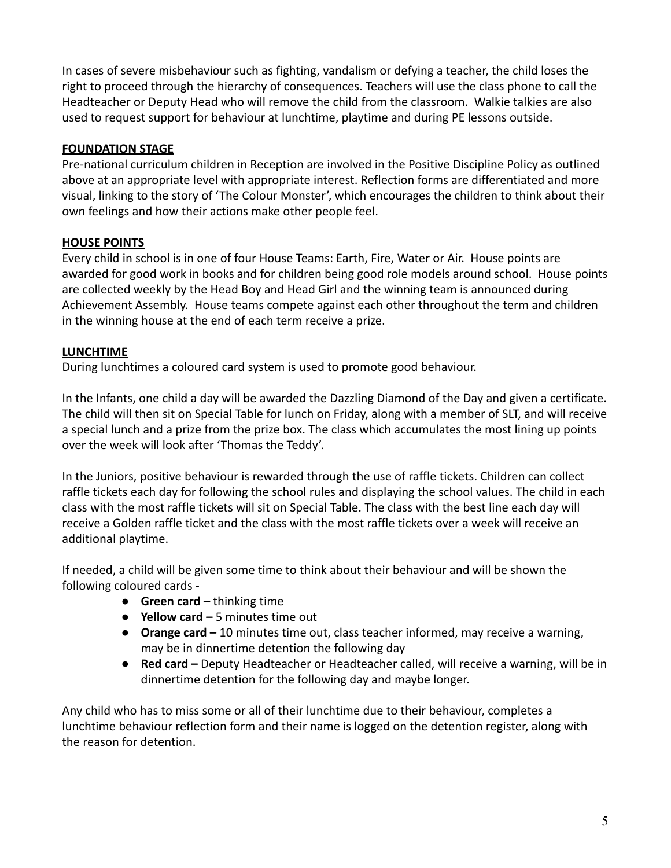In cases of severe misbehaviour such as fighting, vandalism or defying a teacher, the child loses the right to proceed through the hierarchy of consequences. Teachers will use the class phone to call the Headteacher or Deputy Head who will remove the child from the classroom. Walkie talkies are also used to request support for behaviour at lunchtime, playtime and during PE lessons outside.

## **FOUNDATION STAGE**

Pre-national curriculum children in Reception are involved in the Positive Discipline Policy as outlined above at an appropriate level with appropriate interest. Reflection forms are differentiated and more visual, linking to the story of 'The Colour Monster', which encourages the children to think about their own feelings and how their actions make other people feel.

### **HOUSE POINTS**

Every child in school is in one of four House Teams: Earth, Fire, Water or Air. House points are awarded for good work in books and for children being good role models around school. House points are collected weekly by the Head Boy and Head Girl and the winning team is announced during Achievement Assembly. House teams compete against each other throughout the term and children in the winning house at the end of each term receive a prize.

### **LUNCHTIME**

During lunchtimes a coloured card system is used to promote good behaviour.

In the Infants, one child a day will be awarded the Dazzling Diamond of the Day and given a certificate. The child will then sit on Special Table for lunch on Friday, along with a member of SLT, and will receive a special lunch and a prize from the prize box. The class which accumulates the most lining up points over the week will look after 'Thomas the Teddy'.

In the Juniors, positive behaviour is rewarded through the use of raffle tickets. Children can collect raffle tickets each day for following the school rules and displaying the school values. The child in each class with the most raffle tickets will sit on Special Table. The class with the best line each day will receive a Golden raffle ticket and the class with the most raffle tickets over a week will receive an additional playtime.

If needed, a child will be given some time to think about their behaviour and will be shown the following coloured cards -

- **Green card –** thinking time
- **Yellow card –** 5 minutes time out
- **Orange card –** 10 minutes time out, class teacher informed, may receive a warning, may be in dinnertime detention the following day
- **Red card –** Deputy Headteacher or Headteacher called, will receive a warning, will be in dinnertime detention for the following day and maybe longer.

Any child who has to miss some or all of their lunchtime due to their behaviour, completes a lunchtime behaviour reflection form and their name is logged on the detention register, along with the reason for detention.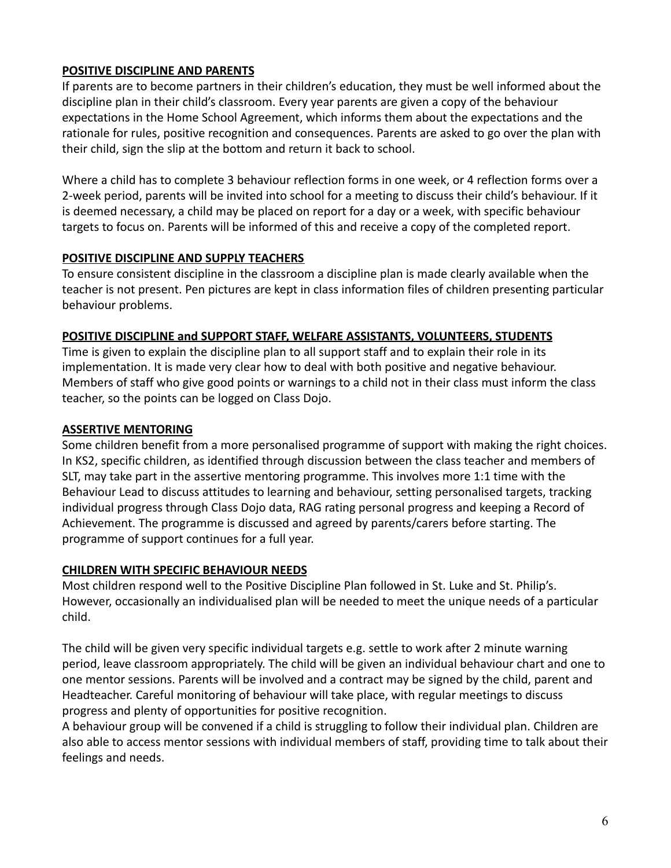### **POSITIVE DISCIPLINE AND PARENTS**

If parents are to become partners in their children's education, they must be well informed about the discipline plan in their child's classroom. Every year parents are given a copy of the behaviour expectations in the Home School Agreement, which informs them about the expectations and the rationale for rules, positive recognition and consequences. Parents are asked to go over the plan with their child, sign the slip at the bottom and return it back to school.

Where a child has to complete 3 behaviour reflection forms in one week, or 4 reflection forms over a 2-week period, parents will be invited into school for a meeting to discuss their child's behaviour. If it is deemed necessary, a child may be placed on report for a day or a week, with specific behaviour targets to focus on. Parents will be informed of this and receive a copy of the completed report.

## **POSITIVE DISCIPLINE AND SUPPLY TEACHERS**

To ensure consistent discipline in the classroom a discipline plan is made clearly available when the teacher is not present. Pen pictures are kept in class information files of children presenting particular behaviour problems.

## **POSITIVE DISCIPLINE and SUPPORT STAFF, WELFARE ASSISTANTS, VOLUNTEERS, STUDENTS**

Time is given to explain the discipline plan to all support staff and to explain their role in its implementation. It is made very clear how to deal with both positive and negative behaviour. Members of staff who give good points or warnings to a child not in their class must inform the class teacher, so the points can be logged on Class Dojo.

## **ASSERTIVE MENTORING**

Some children benefit from a more personalised programme of support with making the right choices. In KS2, specific children, as identified through discussion between the class teacher and members of SLT, may take part in the assertive mentoring programme. This involves more 1:1 time with the Behaviour Lead to discuss attitudes to learning and behaviour, setting personalised targets, tracking individual progress through Class Dojo data, RAG rating personal progress and keeping a Record of Achievement. The programme is discussed and agreed by parents/carers before starting. The programme of support continues for a full year.

### **CHILDREN WITH SPECIFIC BEHAVIOUR NEEDS**

Most children respond well to the Positive Discipline Plan followed in St. Luke and St. Philip's. However, occasionally an individualised plan will be needed to meet the unique needs of a particular child.

The child will be given very specific individual targets e.g. settle to work after 2 minute warning period, leave classroom appropriately. The child will be given an individual behaviour chart and one to one mentor sessions. Parents will be involved and a contract may be signed by the child, parent and Headteacher. Careful monitoring of behaviour will take place, with regular meetings to discuss progress and plenty of opportunities for positive recognition.

A behaviour group will be convened if a child is struggling to follow their individual plan. Children are also able to access mentor sessions with individual members of staff, providing time to talk about their feelings and needs.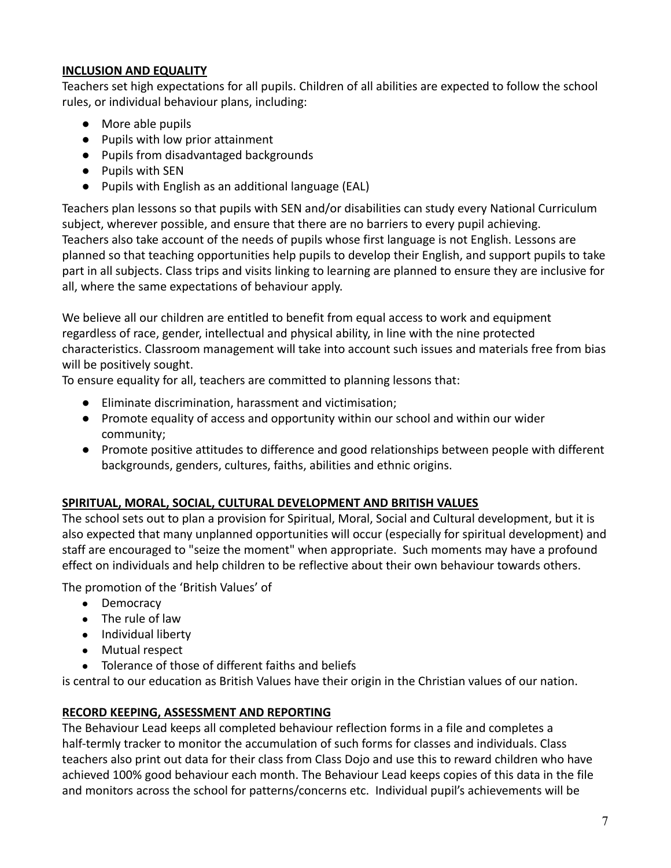#### **INCLUSION AND EQUALITY**

Teachers set high expectations for all pupils. Children of all abilities are expected to follow the school rules, or individual behaviour plans, including:

- More able pupils
- Pupils with low prior attainment
- Pupils from disadvantaged backgrounds
- Pupils with SEN
- Pupils with English as an additional language (EAL)

Teachers plan lessons so that pupils with SEN and/or disabilities can study every National Curriculum subject, wherever possible, and ensure that there are no barriers to every pupil achieving. Teachers also take account of the needs of pupils whose first language is not English. Lessons are planned so that teaching opportunities help pupils to develop their English, and support pupils to take part in all subjects. Class trips and visits linking to learning are planned to ensure they are inclusive for all, where the same expectations of behaviour apply.

We believe all our children are entitled to benefit from equal access to work and equipment regardless of race, gender, intellectual and physical ability, in line with the nine protected characteristics. Classroom management will take into account such issues and materials free from bias will be positively sought.

To ensure equality for all, teachers are committed to planning lessons that:

- Eliminate discrimination, harassment and victimisation;
- Promote equality of access and opportunity within our school and within our wider community;
- Promote positive attitudes to difference and good relationships between people with different backgrounds, genders, cultures, faiths, abilities and ethnic origins.

### **SPIRITUAL, MORAL, SOCIAL, CULTURAL DEVELOPMENT AND BRITISH VALUES**

The school sets out to plan a provision for Spiritual, Moral, Social and Cultural development, but it is also expected that many unplanned opportunities will occur (especially for spiritual development) and staff are encouraged to "seize the moment" when appropriate. Such moments may have a profound effect on individuals and help children to be reflective about their own behaviour towards others.

The promotion of the 'British Values' of

- Democracy
- The rule of law
- Individual liberty
- Mutual respect
- Tolerance of those of different faiths and beliefs

is central to our education as British Values have their origin in the Christian values of our nation.

### **RECORD KEEPING, ASSESSMENT AND REPORTING**

The Behaviour Lead keeps all completed behaviour reflection forms in a file and completes a half-termly tracker to monitor the accumulation of such forms for classes and individuals. Class teachers also print out data for their class from Class Dojo and use this to reward children who have achieved 100% good behaviour each month. The Behaviour Lead keeps copies of this data in the file and monitors across the school for patterns/concerns etc. Individual pupil's achievements will be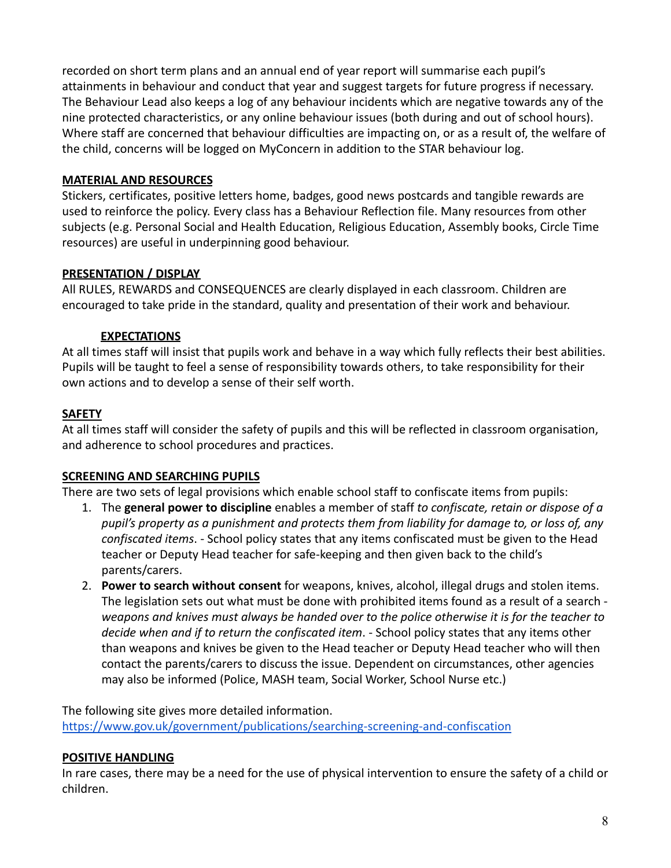recorded on short term plans and an annual end of year report will summarise each pupil's attainments in behaviour and conduct that year and suggest targets for future progress if necessary. The Behaviour Lead also keeps a log of any behaviour incidents which are negative towards any of the nine protected characteristics, or any online behaviour issues (both during and out of school hours). Where staff are concerned that behaviour difficulties are impacting on, or as a result of, the welfare of the child, concerns will be logged on MyConcern in addition to the STAR behaviour log.

### **MATERIAL AND RESOURCES**

Stickers, certificates, positive letters home, badges, good news postcards and tangible rewards are used to reinforce the policy. Every class has a Behaviour Reflection file. Many resources from other subjects (e.g. Personal Social and Health Education, Religious Education, Assembly books, Circle Time resources) are useful in underpinning good behaviour.

## **PRESENTATION / DISPLAY**

All RULES, REWARDS and CONSEQUENCES are clearly displayed in each classroom. Children are encouraged to take pride in the standard, quality and presentation of their work and behaviour.

## **EXPECTATIONS**

At all times staff will insist that pupils work and behave in a way which fully reflects their best abilities. Pupils will be taught to feel a sense of responsibility towards others, to take responsibility for their own actions and to develop a sense of their self worth.

# **SAFETY**

At all times staff will consider the safety of pupils and this will be reflected in classroom organisation, and adherence to school procedures and practices.

# **SCREENING AND SEARCHING PUPILS**

There are two sets of legal provisions which enable school staff to confiscate items from pupils:

- 1. The **general power to discipline** enables a member of staff *to confiscate, retain or dispose of a pupil's property as a punishment and protects them from liability for damage to, or loss of, any confiscated items*. - School policy states that any items confiscated must be given to the Head teacher or Deputy Head teacher for safe-keeping and then given back to the child's parents/carers.
- 2. **Power to search without consent** for weapons, knives, alcohol, illegal drugs and stolen items. The legislation sets out what must be done with prohibited items found as a result of a search *weapons and knives must always be handed over to the police otherwise it is for the teacher to decide when and if to return the confiscated item*. - School policy states that any items other than weapons and knives be given to the Head teacher or Deputy Head teacher who will then contact the parents/carers to discuss the issue. Dependent on circumstances, other agencies may also be informed (Police, MASH team, Social Worker, School Nurse etc.)

The following site gives more detailed information. <https://www.gov.uk/government/publications/searching-screening-and-confiscation>

### **POSITIVE HANDLING**

In rare cases, there may be a need for the use of physical intervention to ensure the safety of a child or children.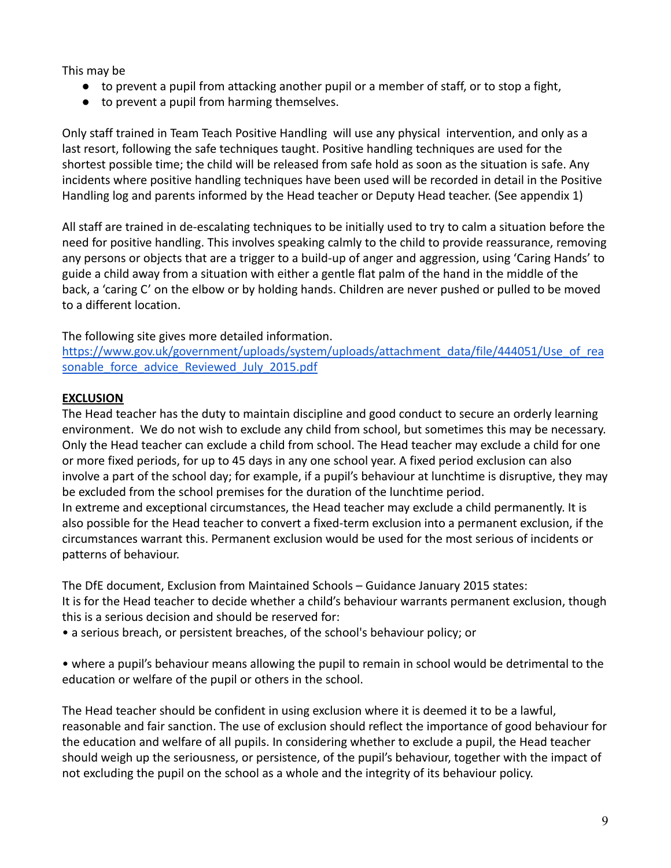This may be

- to prevent a pupil from attacking another pupil or a member of staff, or to stop a fight,
- to prevent a pupil from harming themselves.

Only staff trained in Team Teach Positive Handling will use any physical intervention, and only as a last resort, following the safe techniques taught. Positive handling techniques are used for the shortest possible time; the child will be released from safe hold as soon as the situation is safe. Any incidents where positive handling techniques have been used will be recorded in detail in the Positive Handling log and parents informed by the Head teacher or Deputy Head teacher. (See appendix 1)

All staff are trained in de-escalating techniques to be initially used to try to calm a situation before the need for positive handling. This involves speaking calmly to the child to provide reassurance, removing any persons or objects that are a trigger to a build-up of anger and aggression, using 'Caring Hands' to guide a child away from a situation with either a gentle flat palm of the hand in the middle of the back, a 'caring C' on the elbow or by holding hands. Children are never pushed or pulled to be moved to a different location.

The following site gives more detailed information.

[https://www.gov.uk/government/uploads/system/uploads/attachment\\_data/file/444051/Use\\_of\\_rea](https://www.gov.uk/government/uploads/system/uploads/attachment_data/file/444051/Use_of_reasonable_force_advice_Reviewed_July_2015.pdf) sonable force advice Reviewed July 2015.pdf

## **EXCLUSION**

The Head teacher has the duty to maintain discipline and good conduct to secure an orderly learning environment. We do not wish to exclude any child from school, but sometimes this may be necessary. Only the Head teacher can exclude a child from school. The Head teacher may exclude a child for one or more fixed periods, for up to 45 days in any one school year. A fixed period exclusion can also involve a part of the school day; for example, if a pupil's behaviour at lunchtime is disruptive, they may be excluded from the school premises for the duration of the lunchtime period. In extreme and exceptional circumstances, the Head teacher may exclude a child permanently. It is also possible for the Head teacher to convert a fixed-term exclusion into a permanent exclusion, if the circumstances warrant this. Permanent exclusion would be used for the most serious of incidents or patterns of behaviour.

The DfE document, Exclusion from Maintained Schools – Guidance January 2015 states: It is for the Head teacher to decide whether a child's behaviour warrants permanent exclusion, though this is a serious decision and should be reserved for:

• a serious breach, or persistent breaches, of the school's behaviour policy; or

• where a pupil's behaviour means allowing the pupil to remain in school would be detrimental to the education or welfare of the pupil or others in the school.

The Head teacher should be confident in using exclusion where it is deemed it to be a lawful, reasonable and fair sanction. The use of exclusion should reflect the importance of good behaviour for the education and welfare of all pupils. In considering whether to exclude a pupil, the Head teacher should weigh up the seriousness, or persistence, of the pupil's behaviour, together with the impact of not excluding the pupil on the school as a whole and the integrity of its behaviour policy.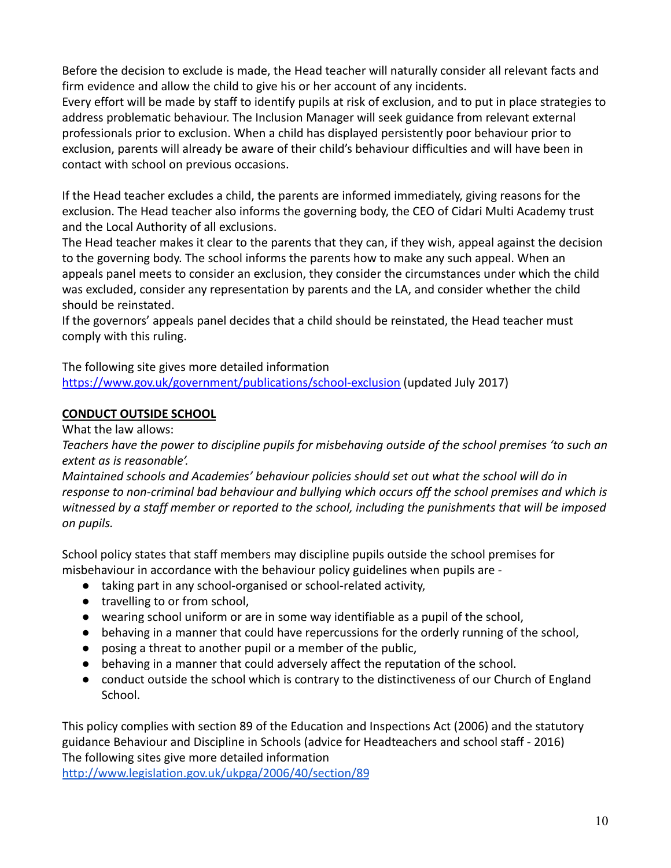Before the decision to exclude is made, the Head teacher will naturally consider all relevant facts and firm evidence and allow the child to give his or her account of any incidents.

Every effort will be made by staff to identify pupils at risk of exclusion, and to put in place strategies to address problematic behaviour. The Inclusion Manager will seek guidance from relevant external professionals prior to exclusion. When a child has displayed persistently poor behaviour prior to exclusion, parents will already be aware of their child's behaviour difficulties and will have been in contact with school on previous occasions.

If the Head teacher excludes a child, the parents are informed immediately, giving reasons for the exclusion. The Head teacher also informs the governing body, the CEO of Cidari Multi Academy trust and the Local Authority of all exclusions.

The Head teacher makes it clear to the parents that they can, if they wish, appeal against the decision to the governing body. The school informs the parents how to make any such appeal. When an appeals panel meets to consider an exclusion, they consider the circumstances under which the child was excluded, consider any representation by parents and the LA, and consider whether the child should be reinstated.

If the governors' appeals panel decides that a child should be reinstated, the Head teacher must comply with this ruling.

The following site gives more detailed information

<https://www.gov.uk/government/publications/school-exclusion> (updated July 2017)

## **CONDUCT OUTSIDE SCHOOL**

What the law allows:

*Teachers have the power to discipline pupils for misbehaving outside of the school premises 'to such an extent as is reasonable'.*

*Maintained schools and Academies' behaviour policies should set out what the school will do in response to non-criminal bad behaviour and bullying which occurs off the school premises and which is witnessed by a staff member or reported to the school, including the punishments that will be imposed on pupils.*

School policy states that staff members may discipline pupils outside the school premises for misbehaviour in accordance with the behaviour policy guidelines when pupils are -

- taking part in any school-organised or school-related activity,
- travelling to or from school,
- wearing school uniform or are in some way identifiable as a pupil of the school,
- behaving in a manner that could have repercussions for the orderly running of the school,
- posing a threat to another pupil or a member of the public,
- behaving in a manner that could adversely affect the reputation of the school.
- conduct outside the school which is contrary to the distinctiveness of our Church of England School.

This policy complies with section 89 of the Education and Inspections Act (2006) and the statutory guidance Behaviour and Discipline in Schools (advice for Headteachers and school staff - 2016) The following sites give more detailed information

<http://www.legislation.gov.uk/ukpga/2006/40/section/89>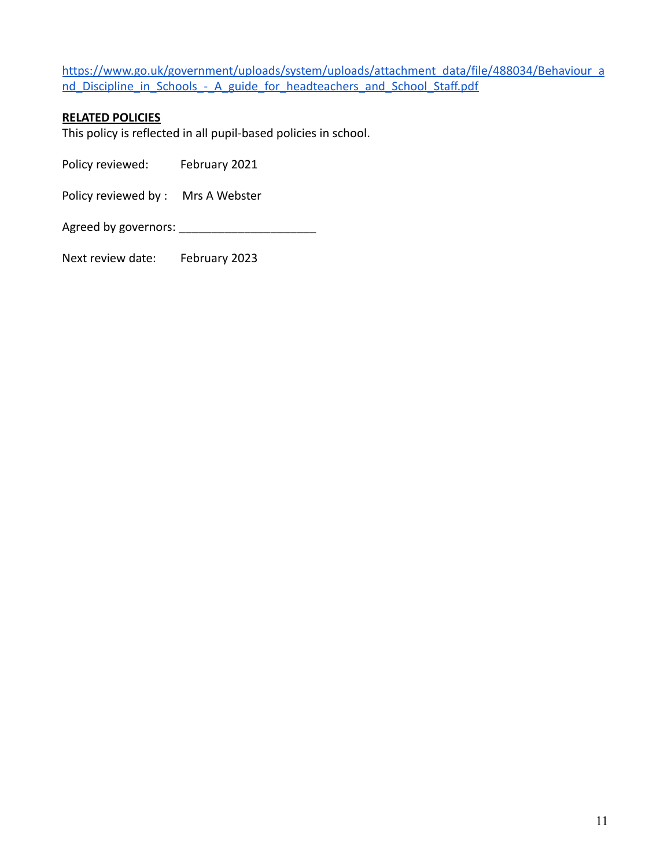[https://www.go.uk/government/uploads/system/uploads/attachment\\_data/file/488034/Behaviour\\_a](https://www.go.uk/government/uploads/system/uploads/attachment_data/file/488034/Behaviour_and_Discipline_in_Schools_-_A_guide_for_headteachers_and_school_Staff.pdf) nd Discipline in Schools - A guide for headteachers and School Staff.pdf

#### **RELATED POLICIES**

This policy is reflected in all pupil-based policies in school.

Policy reviewed: February 2021

Policy reviewed by : Mrs A Webster

Agreed by governors: \_\_\_\_\_\_\_\_\_\_\_\_\_\_\_\_\_\_\_\_\_

Next review date: February 2023